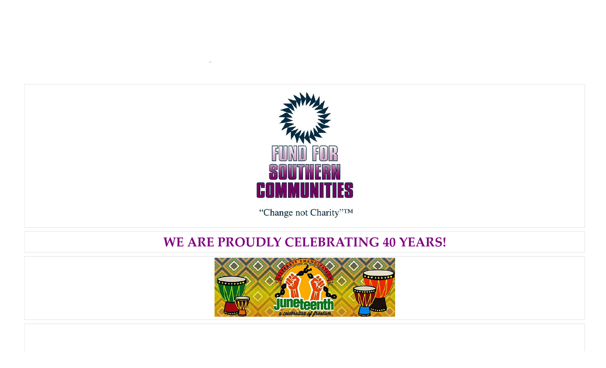

"Change not Charity"TM

# **WE ARE PROUDLY CELEBRATING 40 YEARS!**

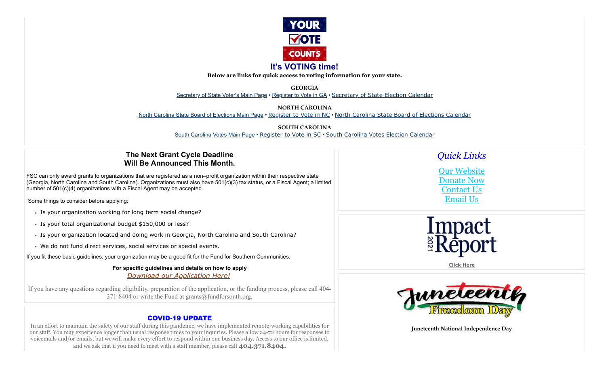

# **It's VOTING time!**

**Below are links for quick access to voting information for your state.**

**GEORGIA**

[Secretary of State Voter's Main Page](https://sos.ga.gov/elections-division-georgia-secretary-states-office) • [Register to Vote in GA](https://sos.ga.gov/how-to-guide/how-guide-registering-vote) • [Secretary of State Election Calendar](https://www.sos.ga.gov/sites/default/files/forms/2022%20State%20Scheduled%20Elections%20Short%20Calendar.pdf)

**NORTH CAROLINA**

[North Carolina State Board of Elections Main Page](https://www.ncsbe.gov/) • [Register to Vote in NC](https://www.ncsbe.gov/registering) • [North Carolina State Board of Elections Calendar](https://www.ncsbe.gov/current-sbe-events?field_event_terms_target_id=765)

**SOUTH CAROLINA** [South Carolina Votes Main Page](https://www.scvotes.gov/) • [Register to Vote in SC](https://www.scvotes.gov/south-carolina-voter-registration-information) • [South Carolina Votes Election Calendar](https://www.scvotes.gov/sites/default/files/2022%20Election%20Calendar%20(scVOTES)%202022-04-18.pdf)

# **The Next Grant Cycle Deadline Will Be Announced This Month.**

FSC can only award grants to organizations that are registered as a non–profit organization within their respective state (Georgia, North Carolina and South Carolina). Organizations must also have 501(c)(3) tax status, or a Fiscal Agent; a limited number of 501(c)(4) organizations with a Fiscal Agent may be accepted.

Some things to consider before applying:

- Is your organization working for long term social change?
- Is your total organizational budget \$150,000 or less?
- Is your organization located and doing work in Georgia, North Carolina and South Carolina?
- We do not fund direct services, social services or special events.

If you fit these basic guidelines, your organization may be a good fit for the Fund for Southern Communities.

**For specific guidelines and details on how to apply** *[Download our Application Here!](https://www.fundforsouth.org/files_2015/GrantApplication2016.doc)*

If you have any questions regarding eligibility, preparation of the application, or the funding process, please call 404 371-8404 or write the Fund at [grants@fundforsouth.org](mailto:grants@fundforsouth.org).

## COVID-19 UPDATE

In an effort to maintain the safety of our staff during this pandemic, we have implemented remote-working capabilities for our staff. You may experience longer than usual response times to your inquiries. Please allow 24-72 hours for responses to voicemails and/or emails, but we will make every effort to respond within one business day. Access to our office is limited, and we ask that if you need to meet with a staff member, please call **404.371.8404.**

*Quick Links*

[Our Website](https://www.fundforsouth.org/) [Donate Now](https://app.etapestry.com/hosted/FundforSouthernCommunities/OnlineGiving.html) [Contact Us](http://404-371-8404/) [Email Us](mailto:fsc@fundforsouth.org)



**[Click Here](http://fundforsouth.org/annual_report_files/Annual_Report_2021.pdf)**



**Juneteenth National Independence Day**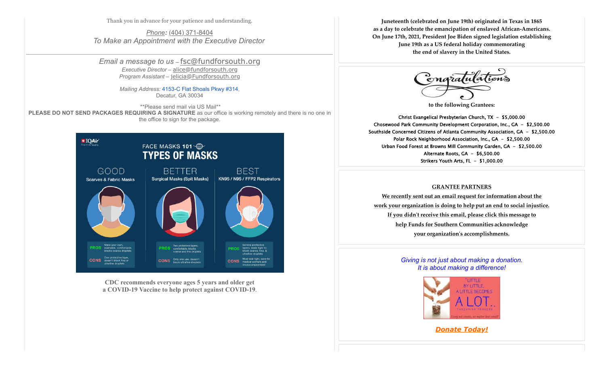Thank you in advance for your patience and understanding.

*[Phone](https://www.google.com/search?client=safari&rls=en&biw=1440&bih=837&sxsrf=ALeKk01_ndGy0vB1SuSW19ENseRUE4ZKSg:1629823547373&q=fund+for+southern+communities+phone&ludocid=6261275828719581359&sa=X&ved=2ahUKEwi8lNnsjcryAhVUQjABHSI9DUcQ6BMwHXoECDMQAg):* [\(404\) 371-8404](https://www.google.com/search?q=fund+for+southern+communities&client=safari&rls=en&biw=1440&bih=837&sxsrf=ALeKk00ujNyvU24UrCU9ui0DDkv-avCkgw%3A1629823493643&ei=BSIlYbHIJuOGwbkP7debwAs&gs_ssp=eJzj4tZP1zcsKTLPNqsoMWC0UjWosLBIMzUwN04xsUhMS06xSLIyqDA1SzWxMDU2NEmyNEwDCnvJppXmpSik5RcpFOeXlmSkFuUpJOfn5pbmZZZkphYDAAKUGoc&oq=&gs_lcp=Cgdnd3Mtd2l6EAEYAjIHCCMQ6gIQJzIHCCMQ6gIQJzINCC4QxwEQrwEQ6gIQJzIHCCMQ6gIQJzIHCCMQ6gIQJzIHCCMQ6gIQJzINCC4QxwEQowIQ6gIQJzIHCCMQ6gIQJzIHCCMQ6gIQJzINCC4QxwEQrwEQ6gIQJ0oECEEYAFAAWABg35wDaAFwAngAgAFTiAFTkgEBMZgBAKABAbABCsABAQ&sclient=gws-wiz) *To Make an Appointment with the Executive Director*

*Email a message to us* – [fsc@fundforsouth.org](mailto:fsc@fundforsouth.org) *Executive Director* – [alice@fundforsouth.org](mailto:alice@fundforsouth.org) *Program Assistant* – [jelicia@Fundforsouth.org](mailto:jelicia@Fundforsouth.org)

> *Mailing Address:* [4153-C Flat Shoals Pkwy #314](https://www.google.com/maps/search/4153-C+Flat+Shoals+Pkwy+%23314?entry=gmail&source=g), Decatur, GA 30034

 \*\*Please send mail via US Mail\*\* **PLEASE DO NOT SEND PACKAGES REQUIRING A SIGNATURE** as our office is working remotely and there is no one in the office to sign for the package.



**CDC recommends everyone ages 5 years and older get a COVID-19 Vaccine to help protect against COVID-19.**

**Juneteenth (celebrated on June 19th) originated in Texas in 1865 as a day to celebrate the emancipation of enslaved African-Americans. On June 17th, 2021, President Joe Biden signed legislation establishing June 19th as a US federal holiday commemorating the end of slavery in the United States.**



**to the following Grantees:**

Christ Evangelical Presbyterian Church, TX - \$5,000.00 Chosewood Park Community Development Corporation, Inc., GA - \$2,500.00 Southside Concerned Citizens of Atlanta Community Association, GA - \$2,500.00 Polar Rock Neighborhood Association, Inc., GA - \$2,500.00 Urban Food Forest at Browns Mill Community Garden, GA - \$2,500.00 Alternate Roots, GA - \$6,500.00 Strikers Youth Arts, FL - \$1,000.00

#### **[GRANTEE PARTNERS](https://content.delivra.com/etapcontent//FundforSouthernCommunities/June%202022%20NL%20files/Grantee%20letter%20req%20info.pdf)**

**[We recently sent out an email request for information](https://content.delivra.com/etapcontent//FundforSouthernCommunities/June%202022%20NL%20files/Grantee%20letter%20req%20info.pdf) [about the](https://content.delivra.com/etapcontent//FundforSouthernCommunities/June%202022%20NL%20files/Grantee%20letter%20req%20info.pdf) [work your organization is doing to help](https://content.delivra.com/etapcontent//FundforSouthernCommunities/June%202022%20NL%20files/Grantee%20letter%20req%20info.pdf) [put an end to social injustice.](https://content.delivra.com/etapcontent//FundforSouthernCommunities/June%202022%20NL%20files/Grantee%20letter%20req%20info.pdf) [If you didn't receive this email, please click this](https://content.delivra.com/etapcontent//FundforSouthernCommunities/June%202022%20NL%20files/Grantee%20letter%20req%20info.pdf) [message](https://content.delivra.com/etapcontent//FundforSouthernCommunities/June%202022%20NL%20files/Grantee%20letter%20req%20info.pdf) [to](https://content.delivra.com/etapcontent//FundforSouthernCommunities/June%202022%20NL%20files/Grantee%20letter%20req%20info.pdf) [help Funds for Southern Communities](https://content.delivra.com/etapcontent//FundforSouthernCommunities/June%202022%20NL%20files/Grantee%20letter%20req%20info.pdf) [acknowledge](https://content.delivra.com/etapcontent//FundforSouthernCommunities/June%202022%20NL%20files/Grantee%20letter%20req%20info.pdf) [your organization's accomplishments.](https://content.delivra.com/etapcontent//FundforSouthernCommunities/June%202022%20NL%20files/Grantee%20letter%20req%20info.pdf)**

## *Giving is not just about making a donation. It is about making a difference!*



#### *[Donate Today!](https://app.etapestry.com/hosted/FundforSouthernCommunities/OnlineGiving.html)*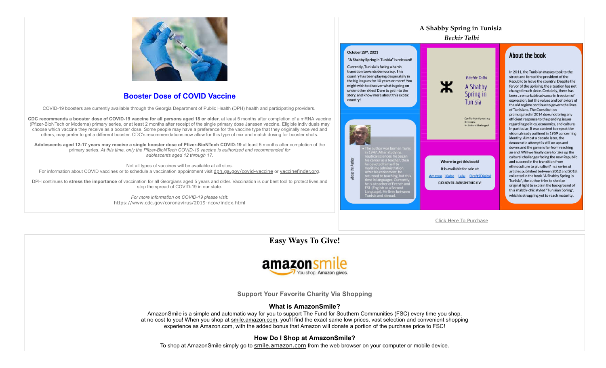

## **Booster Dose of COVID Vaccine**

COVID-19 boosters are currently available through the Georgia Department of Public Health (DPH) health and participating providers.

**CDC recommends a booster dose of COVID-19 vaccine for all persons aged 18 or older**, at least 5 months after completion of a mRNA vaccine (Pfizer-BioNTech or Moderna) primary series, or at least 2 months after receipt of the single primary dose Janssen vaccine. Eligible individuals may choose which vaccine they receive as a booster dose. Some people may have a preference for the vaccine type that they originally received and others, may prefer to get a different booster. CDC's recommendations now allow for this type of mix and match dosing for booster shots.

**Adolescents aged 12-17 years may receive a single booster dose of Pfizer-BioNTech COVID-19** at least 5 months after completion of the primary series. *At this time, only the Pfizer-BioNTech COVID-19 vaccine is authorized and recommended for adolescents aged 12 through 17.*

Not all types of vaccines will be available at all sites. For information about COVID vaccines or to schedule a vaccination appointment visit [dph.ga.gov/covid-vaccine](https://dph.georgia.gov/covid-vaccine) or [vaccinefinder.org](https://www.vaccines.gov/).

DPH continues to **stress the importance** of vaccination for all Georgians aged 5 years and older. Vaccination is our best tool to protect lives and stop the spread of COVID-19 in our state.

> *For more information on COVID-19 please visit:* <https://www.cdc.gov/coronavirus/2019-ncov/index.html>



## About the book

In 2011, the Tunisian masses took to the street and forced the president of the Republic to leave the country. Despite the fervor of the uprising, the situation has not changed much since. Certainly, there has been a remarkable advance in freedom of expression, but the values and behaviors of the old regime continue to govern the lives of Tunisians. The Constitution promulgated in 2014 does not bring any efficient response to the pending issues regarding politics, economics, and culture. In particular, it was content to repeat the vision already outlined in 1959 concerning identity. Almost a decade later, the democratic attempt is still on ups and downs and the game is far from reaching an end. Will we finally dare to take up the cultural challenges facing the new Republic and succeed in the transition from ethnoculture to pluralism? In a series of articles published between 2012 and 2018. collected in the book "A Shabby Spring in Tunisia", the author tries to shed an original light to explain the background of this shabby-chic styled "Tunisian Spring", which is struggling yet to reach maturity.

[Click Here To Purchase](https://www.amazon.fr/Shabby-Spring-Tunisia-Democracy-Challenges-ebook/dp/B09KBCLXMG/ref=sr_1_1?__mk_fr_FR=%C3%85M%C3%85%C5%BD%C3%95%C3%91&dchild=1&keywords=les+livres+de+Mohamed+b%C3%A9chir+talbi&qid=1635867267&sr=8-1)

**A Shabby Spring in Tunisia**

**Easy Ways To Give!**



**Support Your Favorite Charity Via Shopping**

## **What is AmazonSmile?**

AmazonSmile is a simple and automatic way for you to support The Fund for Southern Communities (FSC) every time you shop, at no cost to you! When you shop at [smile.amazon.com](http://smile.amazon.com/), you'll find the exact same low prices, vast selection and convenient shopping experience as Amazon.com, with the added bonus that Amazon will donate a portion of the purchase price to FSC!

## **How Do I Shop at AmazonSmile?**

To shop at AmazonSmile simply go to [smile.amazon.com](http://smile.amazon.com/) from the web browser on your computer or mobile device.